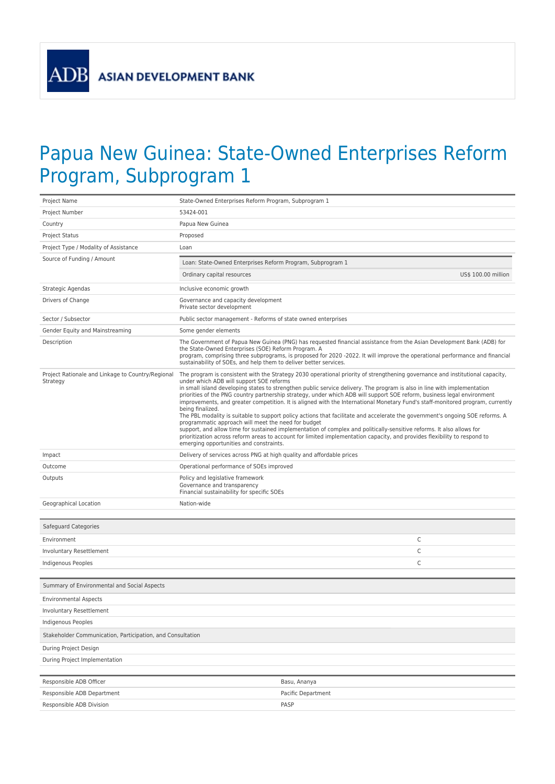**ADB** 

## Papua New Guinea: State-Owned Enterprises Reform Program, Subprogram 1

| Project Name                                                  | State-Owned Enterprises Reform Program, Subprogram 1                                                                                                                                                                                                                                                                                                                                                                                                                                                                                                                                                                                                                                                                                                                                                                                                                                                                                                                                                                                                                            |                     |  |
|---------------------------------------------------------------|---------------------------------------------------------------------------------------------------------------------------------------------------------------------------------------------------------------------------------------------------------------------------------------------------------------------------------------------------------------------------------------------------------------------------------------------------------------------------------------------------------------------------------------------------------------------------------------------------------------------------------------------------------------------------------------------------------------------------------------------------------------------------------------------------------------------------------------------------------------------------------------------------------------------------------------------------------------------------------------------------------------------------------------------------------------------------------|---------------------|--|
| Project Number                                                | 53424-001                                                                                                                                                                                                                                                                                                                                                                                                                                                                                                                                                                                                                                                                                                                                                                                                                                                                                                                                                                                                                                                                       |                     |  |
| Country                                                       | Papua New Guinea                                                                                                                                                                                                                                                                                                                                                                                                                                                                                                                                                                                                                                                                                                                                                                                                                                                                                                                                                                                                                                                                |                     |  |
| <b>Project Status</b>                                         | Proposed                                                                                                                                                                                                                                                                                                                                                                                                                                                                                                                                                                                                                                                                                                                                                                                                                                                                                                                                                                                                                                                                        |                     |  |
| Project Type / Modality of Assistance                         | Loan                                                                                                                                                                                                                                                                                                                                                                                                                                                                                                                                                                                                                                                                                                                                                                                                                                                                                                                                                                                                                                                                            |                     |  |
| Source of Funding / Amount                                    | Loan: State-Owned Enterprises Reform Program, Subprogram 1                                                                                                                                                                                                                                                                                                                                                                                                                                                                                                                                                                                                                                                                                                                                                                                                                                                                                                                                                                                                                      |                     |  |
|                                                               | Ordinary capital resources                                                                                                                                                                                                                                                                                                                                                                                                                                                                                                                                                                                                                                                                                                                                                                                                                                                                                                                                                                                                                                                      | US\$ 100.00 million |  |
| Strategic Agendas                                             | Inclusive economic growth                                                                                                                                                                                                                                                                                                                                                                                                                                                                                                                                                                                                                                                                                                                                                                                                                                                                                                                                                                                                                                                       |                     |  |
| Drivers of Change                                             | Governance and capacity development<br>Private sector development                                                                                                                                                                                                                                                                                                                                                                                                                                                                                                                                                                                                                                                                                                                                                                                                                                                                                                                                                                                                               |                     |  |
| Sector / Subsector                                            | Public sector management - Reforms of state owned enterprises                                                                                                                                                                                                                                                                                                                                                                                                                                                                                                                                                                                                                                                                                                                                                                                                                                                                                                                                                                                                                   |                     |  |
| Gender Equity and Mainstreaming                               | Some gender elements                                                                                                                                                                                                                                                                                                                                                                                                                                                                                                                                                                                                                                                                                                                                                                                                                                                                                                                                                                                                                                                            |                     |  |
| Description                                                   | The Government of Papua New Guinea (PNG) has requested financial assistance from the Asian Development Bank (ADB) for<br>the State-Owned Enterprises (SOE) Reform Program. A<br>program, comprising three subprograms, is proposed for 2020 -2022. It will improve the operational performance and financial<br>sustainability of SOEs, and help them to deliver better services.                                                                                                                                                                                                                                                                                                                                                                                                                                                                                                                                                                                                                                                                                               |                     |  |
| Project Rationale and Linkage to Country/Regional<br>Strategy | The program is consistent with the Strategy 2030 operational priority of strengthening governance and institutional capacity,<br>under which ADB will support SOE reforms<br>in small island developing states to strengthen public service delivery. The program is also in line with implementation<br>priorities of the PNG country partnership strategy, under which ADB will support SOE reform, business legal environment<br>improvements, and greater competition. It is aligned with the International Monetary Fund's staff-monitored program, currently<br>being finalized.<br>The PBL modality is suitable to support policy actions that facilitate and accelerate the government's ongoing SOE reforms. A<br>programmatic approach will meet the need for budget<br>support, and allow time for sustained implementation of complex and politically-sensitive reforms. It also allows for<br>prioritization across reform areas to account for limited implementation capacity, and provides flexibility to respond to<br>emerging opportunities and constraints. |                     |  |
| Impact                                                        | Delivery of services across PNG at high quality and affordable prices                                                                                                                                                                                                                                                                                                                                                                                                                                                                                                                                                                                                                                                                                                                                                                                                                                                                                                                                                                                                           |                     |  |
| Outcome                                                       | Operational performance of SOEs improved                                                                                                                                                                                                                                                                                                                                                                                                                                                                                                                                                                                                                                                                                                                                                                                                                                                                                                                                                                                                                                        |                     |  |
| Outputs                                                       | Policy and legislative framework<br>Governance and transparency<br>Financial sustainability for specific SOEs                                                                                                                                                                                                                                                                                                                                                                                                                                                                                                                                                                                                                                                                                                                                                                                                                                                                                                                                                                   |                     |  |
| Geographical Location                                         | Nation-wide                                                                                                                                                                                                                                                                                                                                                                                                                                                                                                                                                                                                                                                                                                                                                                                                                                                                                                                                                                                                                                                                     |                     |  |
| Safeguard Categories                                          |                                                                                                                                                                                                                                                                                                                                                                                                                                                                                                                                                                                                                                                                                                                                                                                                                                                                                                                                                                                                                                                                                 |                     |  |
| Environment                                                   |                                                                                                                                                                                                                                                                                                                                                                                                                                                                                                                                                                                                                                                                                                                                                                                                                                                                                                                                                                                                                                                                                 | С                   |  |
| Involuntary Resettlement                                      |                                                                                                                                                                                                                                                                                                                                                                                                                                                                                                                                                                                                                                                                                                                                                                                                                                                                                                                                                                                                                                                                                 | C                   |  |
| Indigenous Peoples                                            |                                                                                                                                                                                                                                                                                                                                                                                                                                                                                                                                                                                                                                                                                                                                                                                                                                                                                                                                                                                                                                                                                 | C                   |  |
|                                                               |                                                                                                                                                                                                                                                                                                                                                                                                                                                                                                                                                                                                                                                                                                                                                                                                                                                                                                                                                                                                                                                                                 |                     |  |
| Summary of Environmental and Social Aspects                   |                                                                                                                                                                                                                                                                                                                                                                                                                                                                                                                                                                                                                                                                                                                                                                                                                                                                                                                                                                                                                                                                                 |                     |  |
| <b>Environmental Aspects</b>                                  |                                                                                                                                                                                                                                                                                                                                                                                                                                                                                                                                                                                                                                                                                                                                                                                                                                                                                                                                                                                                                                                                                 |                     |  |
| <b>Involuntary Resettlement</b>                               |                                                                                                                                                                                                                                                                                                                                                                                                                                                                                                                                                                                                                                                                                                                                                                                                                                                                                                                                                                                                                                                                                 |                     |  |
| Indigenous Peoples                                            |                                                                                                                                                                                                                                                                                                                                                                                                                                                                                                                                                                                                                                                                                                                                                                                                                                                                                                                                                                                                                                                                                 |                     |  |
| Stakeholder Communication, Participation, and Consultation    |                                                                                                                                                                                                                                                                                                                                                                                                                                                                                                                                                                                                                                                                                                                                                                                                                                                                                                                                                                                                                                                                                 |                     |  |
| During Project Design                                         |                                                                                                                                                                                                                                                                                                                                                                                                                                                                                                                                                                                                                                                                                                                                                                                                                                                                                                                                                                                                                                                                                 |                     |  |
| During Project Implementation                                 |                                                                                                                                                                                                                                                                                                                                                                                                                                                                                                                                                                                                                                                                                                                                                                                                                                                                                                                                                                                                                                                                                 |                     |  |
|                                                               |                                                                                                                                                                                                                                                                                                                                                                                                                                                                                                                                                                                                                                                                                                                                                                                                                                                                                                                                                                                                                                                                                 |                     |  |
| Responsible ADB Officer                                       | Basu, Ananya                                                                                                                                                                                                                                                                                                                                                                                                                                                                                                                                                                                                                                                                                                                                                                                                                                                                                                                                                                                                                                                                    |                     |  |
| Responsible ADB Department                                    | Pacific Department                                                                                                                                                                                                                                                                                                                                                                                                                                                                                                                                                                                                                                                                                                                                                                                                                                                                                                                                                                                                                                                              |                     |  |
| Responsible ADB Division                                      | PASP                                                                                                                                                                                                                                                                                                                                                                                                                                                                                                                                                                                                                                                                                                                                                                                                                                                                                                                                                                                                                                                                            |                     |  |